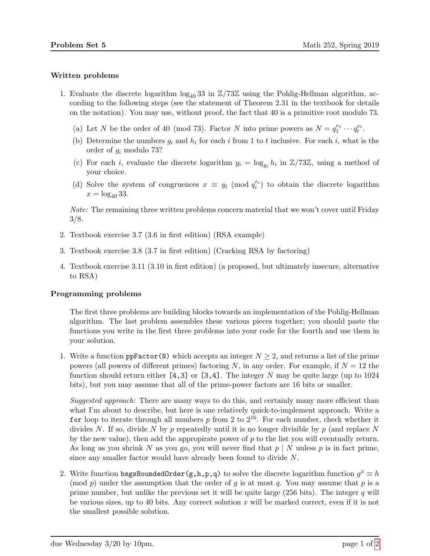## Written problems

- 1. Evaluate the discrete logarithm  $\log_{40} 33$  in  $\mathbb{Z}/73\mathbb{Z}$  using the Pohlig-Hellman algorithm, according to the following steps (see the statement of Theorem 2.31 in the textbook for details on the notation). You may use, without proof, the fact that 40 is a primitive root modulo 73.
	- (a) Let N be the order of 40 (mod 73). Factor N into prime powers as  $N = q_1^{e_1} \cdots q_t^{e_t}$ .
	- (b) Determine the numbers  $g_i$  and  $h_i$  for each i from 1 to t inclusive. For each i, what is the order of g<sup>i</sup> modulo 73?
	- (c) For each *i*, evaluate the discrete logarithm  $y_i = \log_{g_i} h_i$  in  $\mathbb{Z}/73\mathbb{Z}$ , using a method of your choice.
	- (d) Solve the system of congruences  $x \equiv y_i \pmod{q_i^{e_i}}$  to obtain the discrete logarithm  $x = \log_{40} 33$ .

Note: The remaining three written problems concern material that we won't cover until Friday 3/8.

- 2. Textbook exercise 3.7 (3.6 in first edition) (RSA example)
- 3. Textbook exercise 3.8 (3.7 in first edition) (Cracking RSA by factoring)
- 4. Textbook exercise 3.11 (3.10 in first edition) (a proposed, but ultimately insecure, alternative to RSA)

## Programming problems

The first three problems are building blocks towards an implementation of the Pohlig-Hellman algorithm. The last problem assembles these various pieces together; you should paste the functions you write in the first three problems into your code for the fourth and use them in your solution.

1. Write a function ppFactor(N) which accepts an integer  $N \geq 2$ , and returns a list of the prime powers (all powers of different primes) factoring N, in any order. For example, if  $N = 12$  the function should return either  $[4,3]$  or  $[3,4]$ . The integer N may be quite large (up to 1024) bits), but you may assume that all of the prime-power factors are 16 bits or smaller.

Suggested approach: There are many ways to do this, and certainly many more efficient than what I'm about to describe, but here is one relatively quick-to-implement approach. Write a for loop to iterate through all numbers  $p$  from 2 to  $2^{16}$ . For each number, check whether it divides N. If so, divide N by p repeatedly until it is no longer divisible by p (and replace N by the new value), then add the appropirate power of  $p$  to the list you will eventually return. As long as you shrink N as you go, you will never find that  $p \mid N$  unless p is in fact prime, since any smaller factor would have already been found to divide N.

2. Write function bsgsBoundedOrder(g,h,p,q) to solve the discrete logarithm function  $g^x \equiv h$ (mod p) under the assumption that the order of q is at most q. You may assume that p is a prime number, but unlike the previous set it will be quite large  $(256 \text{ bits})$ . The integer q will be various sizes, up to 40 bits. Any correct solution  $x$  will be marked correct, even if it is not the smallest possible solution.